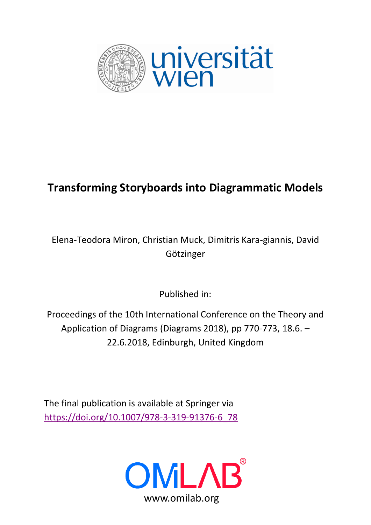

# **Transforming Storyboards into Diagrammatic Models**

Elena-Teodora Miron, Christian Muck, Dimitris Kara-giannis, David Götzinger

Published in:

Proceedings of the 10th International Conference on the Theory and Application of Diagrams (Diagrams 2018), pp 770-773, 18.6. – 22.6.2018, Edinburgh, United Kingdom

The final publication is available at Springer via [https://doi.org/10.1007/978-3-319-91376-6\\_78](https://doi.org/10.1007/978-3-319-91376-6_78)

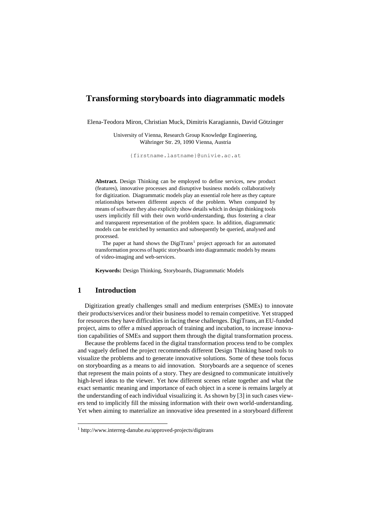# **Transforming storyboards into diagrammatic models**

Elena-Teodora Miron, Christian Muck, Dimitris Karagiannis, David Götzinger

University of Vienna, Research Group Knowledge Engineering, Währinger Str. 29, 1090 Vienna, Austria

{firstname.lastname}@univie.ac.at

**Abstract.** Design Thinking can be employed to define services, new product (features), innovative processes and disruptive business models collaboratively for digitization. Diagrammatic models play an essential role here as they capture relationships between different aspects of the problem. When computed by means of software they also explicitly show details which in design thinking tools users implicitly fill with their own world-understanding, thus fostering a clear and transparent representation of the problem space. In addition, diagrammatic models can be enriched by semantics and subsequently be queried, analysed and processed.

The paper at hand shows the DigiTrans<sup>1</sup> project approach for an automated transformation process of haptic storyboards into diagrammatic models by means of video-imaging and web-services.

**Keywords:** Design Thinking, Storyboards, Diagrammatic Models

#### **1 Introduction**

 $\overline{a}$ 

Digitization greatly challenges small and medium enterprises (SMEs) to innovate their products/services and/or their business model to remain competitive. Yet strapped for resources they have difficulties in facing these challenges. DigiTrans, an EU-funded project, aims to offer a mixed approach of training and incubation, to increase innovation capabilities of SMEs and support them through the digital transformation process.

Because the problems faced in the digital transformation process tend to be complex and vaguely defined the project recommends different Design Thinking based tools to visualize the problems and to generate innovative solutions. Some of these tools focus on storyboarding as a means to aid innovation. Storyboards are a sequence of scenes that represent the main points of a story. They are designed to communicate intuitively high-level ideas to the viewer. Yet how different scenes relate together and what the exact semantic meaning and importance of each object in a scene is remains largely at the understanding of each individual visualizing it. As shown by [\[3\]](#page-4-0) in such cases viewers tend to implicitly fill the missing information with their own world-understanding. Yet when aiming to materialize an innovative idea presented in a storyboard different

<sup>1</sup> http://www.interreg-danube.eu/approved-projects/digitrans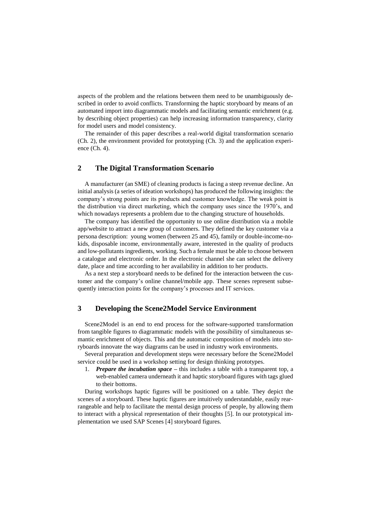aspects of the problem and the relations between them need to be unambiguously described in order to avoid conflicts. Transforming the haptic storyboard by means of an automated import into diagrammatic models and facilitating semantic enrichment (e.g. by describing object properties) can help increasing information transparency, clarity for model users and model consistency.

The remainder of this paper describes a real-world digital transformation scenario (Ch. 2), the environment provided for prototyping (Ch. 3) and the application experience (Ch. 4).

#### **2 The Digital Transformation Scenario**

A manufacturer (an SME) of cleaning products is facing a steep revenue decline. An initial analysis (a series of ideation workshops) has produced the following insights: the company's strong points are its products and customer knowledge. The weak point is the distribution via direct marketing, which the company uses since the 1970's, and which nowadays represents a problem due to the changing structure of households.

The company has identified the opportunity to use online distribution via a mobile app/website to attract a new group of customers. They defined the key customer via a persona description: young women (between 25 and 45), family or double-income-nokids, disposable income, environmentally aware, interested in the quality of products and low-pollutants ingredients, working. Such a female must be able to choose between a catalogue and electronic order. In the electronic channel she can select the delivery date, place and time according to her availability in addition to her products.

As a next step a storyboard needs to be defined for the interaction between the customer and the company's online channel/mobile app. These scenes represent subsequently interaction points for the company's processes and IT services.

#### **3 Developing the Scene2Model Service Environment**

Scene2Model is an end to end process for the software-supported transformation from tangible figures to diagrammatic models with the possibility of simultaneous semantic enrichment of objects. This and the automatic composition of models into storyboards innovate the way diagrams can be used in industry work environments.

Several preparation and development steps were necessary before the Scene2Model service could be used in a workshop setting for design thinking prototypes.

1. *Prepare the incubation space –* this includes a table with a transparent top, a web-enabled camera underneath it and haptic storyboard figures with tags glued to their bottoms.

During workshops haptic figures will be positioned on a table. They depict the scenes of a storyboard. These haptic figures are intuitively understandable, easily rearrangeable and help to facilitate the mental design process of people, by allowing them to interact with a physical representation of their thoughts [\[5\]](#page-4-1). In our prototypical implementation we used SAP Scenes [\[4\]](#page-4-2) storyboard figures.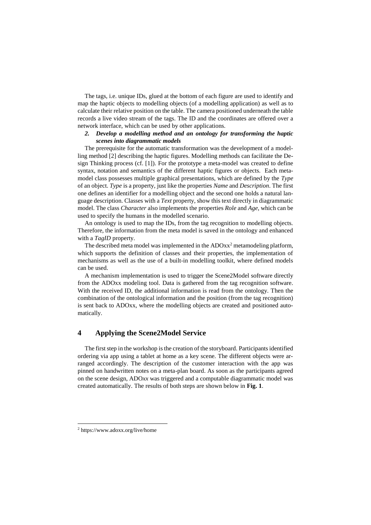The tags, i.e. unique IDs, glued at the bottom of each figure are used to identify and map the haptic objects to modelling objects (of a modelling application) as well as to calculate their relative position on the table. The camera positioned underneath the table records a live video stream of the tags. The ID and the coordinates are offered over a network interface, which can be used by other applications.

#### *2. Develop a modelling method and an ontology for transforming the haptic scenes into diagrammatic models*

The prerequisite for the automatic transformation was the development of a modelling method [\[2\]](#page-4-3) describing the haptic figures. Modelling methods can facilitate the Design Thinking process (cf. [\[1\]](#page-4-4)). For the prototype a meta-model was created to define syntax, notation and semantics of the different haptic figures or objects. Each metamodel class possesses multiple graphical presentations, which are defined by the *Type* of an object. *Type* is a property, just like the properties *Name* and *Description*. The first one defines an identifier for a modelling object and the second one holds a natural language description. Classes with a *Text* property, show this text directly in diagrammatic model. The class *Character* also implements the properties *Role* and *Age*, which can be used to specify the humans in the modelled scenario.

An ontology is used to map the IDs, from the tag recognition to modelling objects. Therefore, the information from the meta model is saved in the ontology and enhanced with a *TagID* property.

The described meta model was implemented in the ADOxx<sup>2</sup> metamodeling platform, which supports the definition of classes and their properties, the implementation of mechanisms as well as the use of a built-in modelling toolkit, where defined models can be used.

A mechanism implementation is used to trigger the Scene2Model software directly from the ADOxx modeling tool. Data is gathered from the tag recognition software. With the received ID, the additional information is read from the ontology. Then the combination of the ontological information and the position (from the tag recognition) is sent back to ADOxx, where the modelling objects are created and positioned automatically.

## **4 Applying the Scene2Model Service**

The first step in the workshop is the creation of the storyboard. Participants identified ordering via app using a tablet at home as a key scene. The different objects were arranged accordingly. The description of the customer interaction with the app was pinned on handwritten notes on a meta-plan board. As soon as the participants agreed on the scene design, ADO*xx* was triggered and a computable diagrammatic model was created automatically. The results of both steps are shown below in **Fig. 1**.

 $\overline{a}$ 

<sup>2</sup> https://www.adoxx.org/live/home